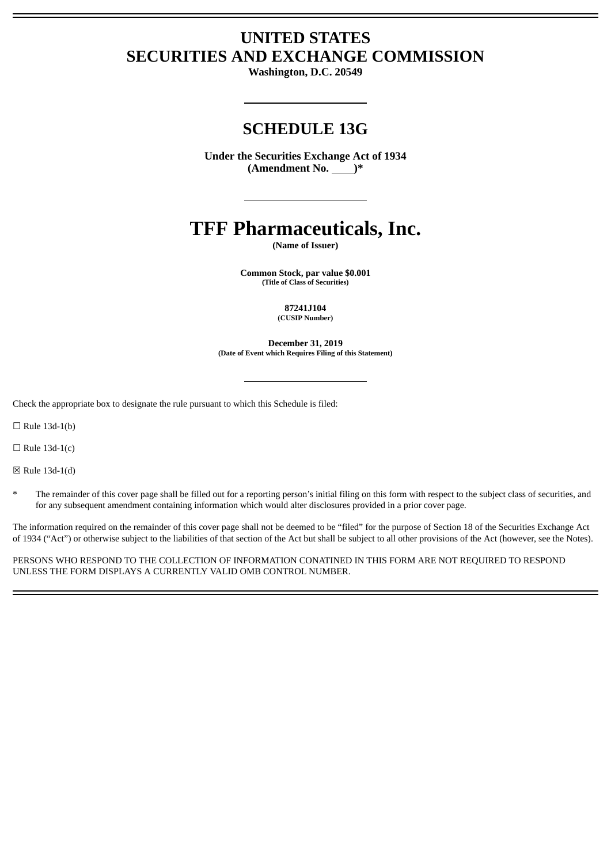# **UNITED STATES SECURITIES AND EXCHANGE COMMISSION**

**Washington, D.C. 20549**

# **SCHEDULE 13G**

**Under the Securities Exchange Act of 1934 (Amendment No. )\***

# **TFF Pharmaceuticals, Inc.**

**(Name of Issuer)**

**Common Stock, par value \$0.001 (Title of Class of Securities)**

> **87241J104 (CUSIP Number)**

**December 31, 2019 (Date of Event which Requires Filing of this Statement)**

Check the appropriate box to designate the rule pursuant to which this Schedule is filed:

 $\Box$  Rule 13d-1(b)

 $\Box$  Rule 13d-1(c)

☒ Rule 13d-1(d)

The remainder of this cover page shall be filled out for a reporting person's initial filing on this form with respect to the subject class of securities, and for any subsequent amendment containing information which would alter disclosures provided in a prior cover page.

The information required on the remainder of this cover page shall not be deemed to be "filed" for the purpose of Section 18 of the Securities Exchange Act of 1934 ("Act") or otherwise subject to the liabilities of that section of the Act but shall be subject to all other provisions of the Act (however, see the Notes).

PERSONS WHO RESPOND TO THE COLLECTION OF INFORMATION CONATINED IN THIS FORM ARE NOT REQUIRED TO RESPOND UNLESS THE FORM DISPLAYS A CURRENTLY VALID OMB CONTROL NUMBER.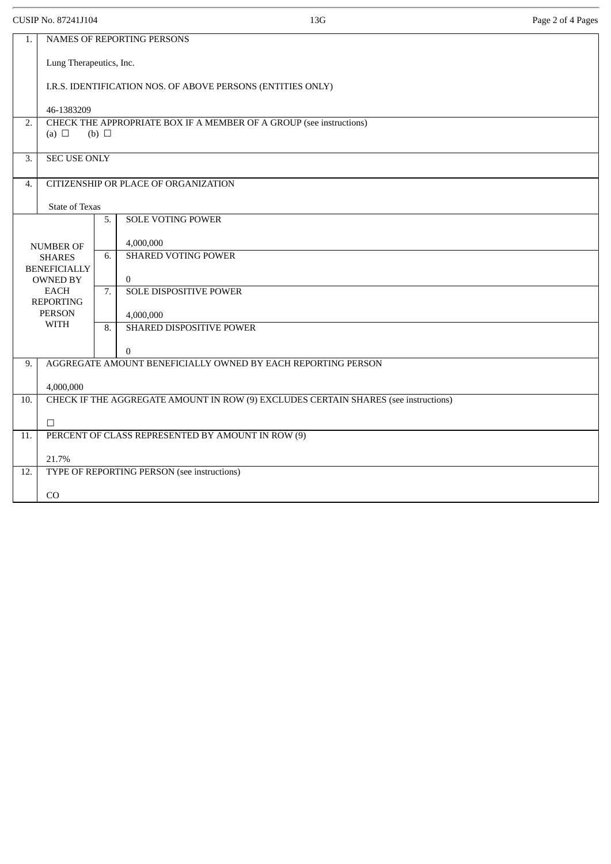CUSIP No. 87241J104 Page 2 of 4 Pages

| Lung Therapeutics, Inc.<br>I.R.S. IDENTIFICATION NOS. OF ABOVE PERSONS (ENTITIES ONLY)     |  |  |
|--------------------------------------------------------------------------------------------|--|--|
|                                                                                            |  |  |
|                                                                                            |  |  |
| 46-1383209                                                                                 |  |  |
| CHECK THE APPROPRIATE BOX IF A MEMBER OF A GROUP (see instructions)<br>2.                  |  |  |
| (a) $\Box$<br>(b) $\Box$                                                                   |  |  |
| <b>SEC USE ONLY</b><br>3.                                                                  |  |  |
| CITIZENSHIP OR PLACE OF ORGANIZATION<br>4.                                                 |  |  |
| <b>State of Texas</b>                                                                      |  |  |
| <b>SOLE VOTING POWER</b><br>5.                                                             |  |  |
| 4,000,000<br><b>NUMBER OF</b>                                                              |  |  |
| <b>SHARED VOTING POWER</b><br>6.<br><b>SHARES</b><br><b>BENEFICIALLY</b>                   |  |  |
| $\overline{0}$<br><b>OWNED BY</b>                                                          |  |  |
| <b>EACH</b><br>7.<br><b>SOLE DISPOSITIVE POWER</b><br><b>REPORTING</b>                     |  |  |
| <b>PERSON</b><br>4,000,000<br><b>WITH</b>                                                  |  |  |
| 8.<br>SHARED DISPOSITIVE POWER                                                             |  |  |
| $\mathbf{0}$                                                                               |  |  |
| AGGREGATE AMOUNT BENEFICIALLY OWNED BY EACH REPORTING PERSON<br>9.                         |  |  |
| 4,000,000                                                                                  |  |  |
| CHECK IF THE AGGREGATE AMOUNT IN ROW (9) EXCLUDES CERTAIN SHARES (see instructions)<br>10. |  |  |
| $\Box$                                                                                     |  |  |
| PERCENT OF CLASS REPRESENTED BY AMOUNT IN ROW (9)<br>11.                                   |  |  |
| 21.7%                                                                                      |  |  |
| TYPE OF REPORTING PERSON (see instructions)<br>12.                                         |  |  |
| CO                                                                                         |  |  |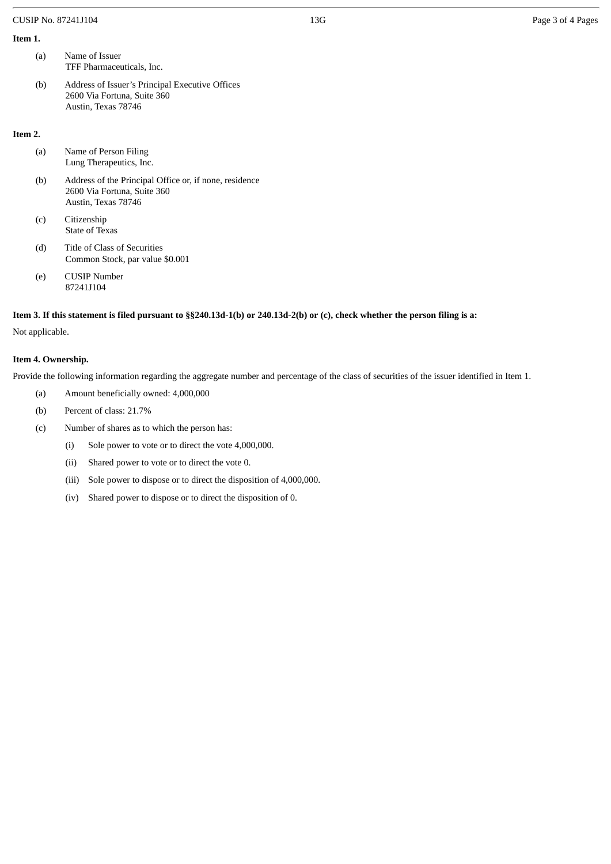#### CUSIP No. 87241J104 **Page 3 of 4 Pages** 2 of 4 Pages

## **Item 1.**

| (a) | Name of Issuer            |
|-----|---------------------------|
|     | TFF Pharmaceuticals, Inc. |

(b) Address of Issuer's Principal Executive Offices 2600 Via Fortuna, Suite 360 Austin, Texas 78746

#### **Item 2.**

| (a) | Name of Person Filing<br>Lung Therapeutics, Inc.                                                             |
|-----|--------------------------------------------------------------------------------------------------------------|
| (b) | Address of the Principal Office or, if none, residence<br>2600 Via Fortuna, Suite 360<br>Austin, Texas 78746 |
| (c) | Citizenship<br>State of Texas                                                                                |
| (d) | Title of Class of Securities<br>Common Stock, par value \$0.001                                              |
| (e) | <b>CUSIP Number</b><br>87241J104                                                                             |
|     |                                                                                                              |

Item 3. If this statement is filed pursuant to §§240.13d-1(b) or 240.13d-2(b) or (c), check whether the person filing is a:

Not applicable.

## **Item 4. Ownership.**

Provide the following information regarding the aggregate number and percentage of the class of securities of the issuer identified in Item 1.

- (a) Amount beneficially owned: 4,000,000
- (b) Percent of class: 21.7%
- (c) Number of shares as to which the person has:
	- (i) Sole power to vote or to direct the vote 4,000,000.
	- (ii) Shared power to vote or to direct the vote 0.
	- (iii) Sole power to dispose or to direct the disposition of 4,000,000.
	- (iv) Shared power to dispose or to direct the disposition of 0.